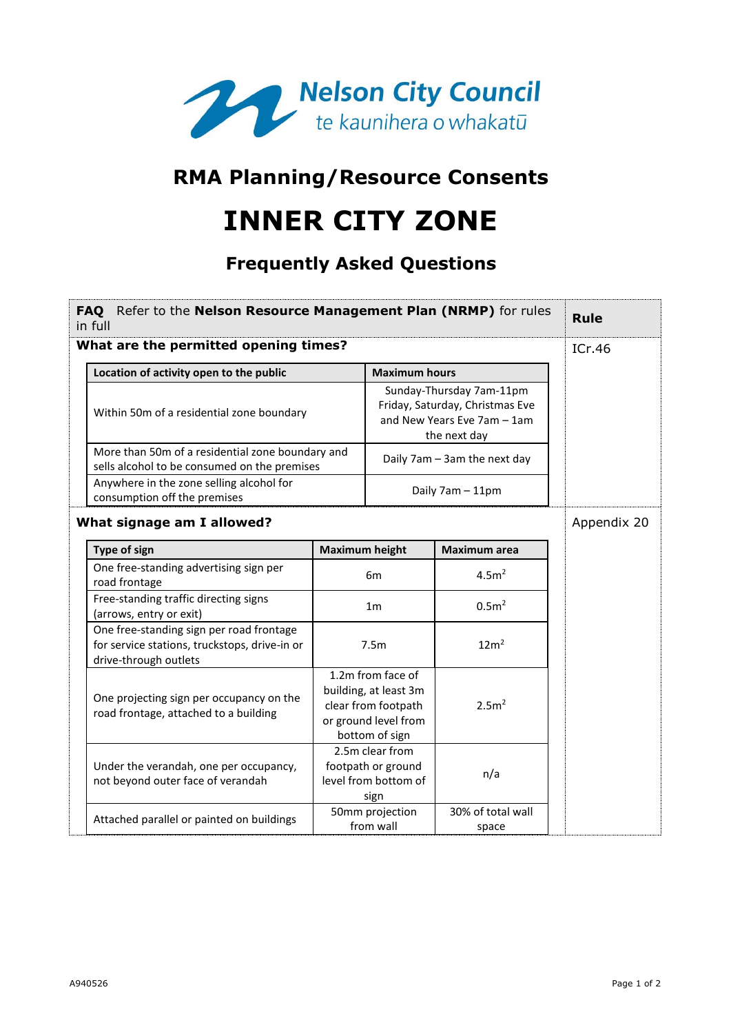

## **RMA Planning/Resource Consents**

## **INNER CITY ZONE**

## **Frequently Asked Questions**

| FAQ Refer to the Nelson Resource Management Plan (NRMP) for rules<br>in full |                                                                                                                    | <b>Rule</b>                                                                                                                        |                                                                                                             |                              |  |  |  |  |
|------------------------------------------------------------------------------|--------------------------------------------------------------------------------------------------------------------|------------------------------------------------------------------------------------------------------------------------------------|-------------------------------------------------------------------------------------------------------------|------------------------------|--|--|--|--|
| What are the permitted opening times?<br>ICr.46                              |                                                                                                                    |                                                                                                                                    |                                                                                                             |                              |  |  |  |  |
|                                                                              | Location of activity open to the public                                                                            | <b>Maximum hours</b><br>Sunday-Thursday 7am-11pm<br>Friday, Saturday, Christmas Eve<br>and New Years Eve 7am - 1am<br>the next day |                                                                                                             |                              |  |  |  |  |
|                                                                              | Within 50m of a residential zone boundary                                                                          |                                                                                                                                    |                                                                                                             |                              |  |  |  |  |
|                                                                              | More than 50m of a residential zone boundary and<br>sells alcohol to be consumed on the premises                   |                                                                                                                                    |                                                                                                             | Daily 7am - 3am the next day |  |  |  |  |
|                                                                              | Anywhere in the zone selling alcohol for<br>consumption off the premises                                           | Daily 7am - 11pm                                                                                                                   |                                                                                                             |                              |  |  |  |  |
|                                                                              | What signage am I allowed?                                                                                         |                                                                                                                                    | Appendix 20                                                                                                 |                              |  |  |  |  |
|                                                                              | Type of sign                                                                                                       | <b>Maximum height</b>                                                                                                              |                                                                                                             | <b>Maximum</b> area          |  |  |  |  |
|                                                                              | One free-standing advertising sign per<br>road frontage                                                            |                                                                                                                                    | 6 <sub>m</sub>                                                                                              | 4.5m <sup>2</sup>            |  |  |  |  |
|                                                                              | Free-standing traffic directing signs<br>(arrows, entry or exit)                                                   |                                                                                                                                    | 1 <sub>m</sub>                                                                                              | 0.5 <sup>2</sup>             |  |  |  |  |
|                                                                              | One free-standing sign per road frontage<br>for service stations, truckstops, drive-in or<br>drive-through outlets |                                                                                                                                    | 7.5m                                                                                                        | 12m <sup>2</sup>             |  |  |  |  |
|                                                                              | One projecting sign per occupancy on the<br>road frontage, attached to a building                                  |                                                                                                                                    | 1.2m from face of<br>building, at least 3m<br>clear from footpath<br>or ground level from<br>bottom of sign | 2.5 <sup>2</sup>             |  |  |  |  |
|                                                                              | Under the verandah, one per occupancy,<br>not beyond outer face of verandah                                        |                                                                                                                                    | 2.5m clear from<br>footpath or ground<br>level from bottom of<br>sign                                       | n/a                          |  |  |  |  |
|                                                                              | Attached parallel or painted on buildings                                                                          |                                                                                                                                    | 50mm projection<br>from wall                                                                                | 30% of total wall<br>space   |  |  |  |  |